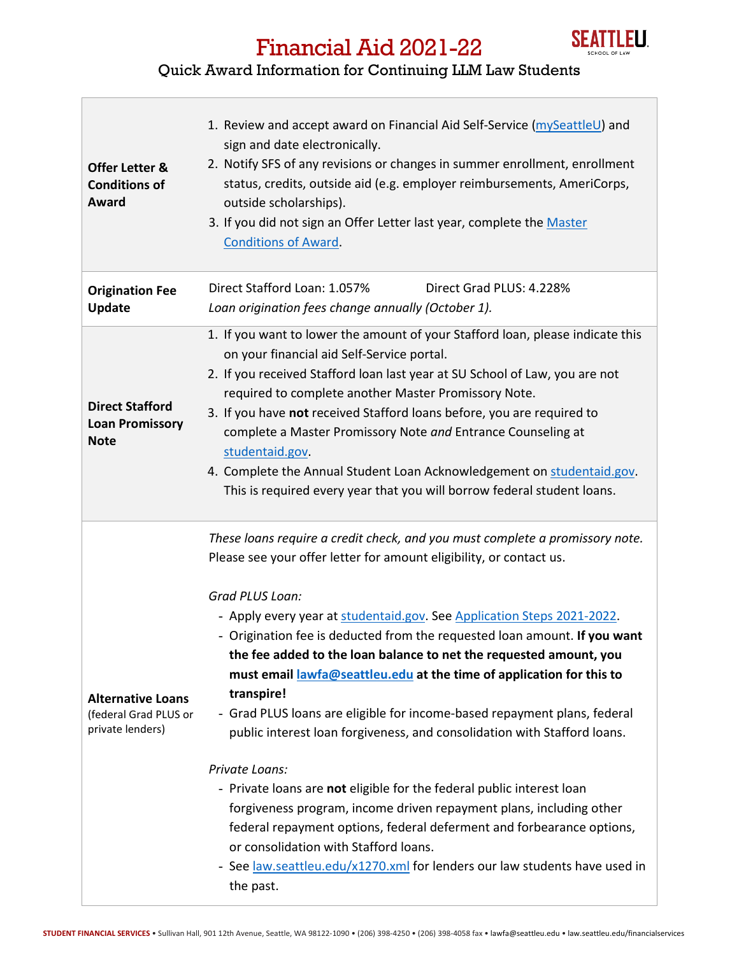

## Financial Aid 2021-22

## Quick Award Information for Continuing LLM Law Students

| <b>Offer Letter &amp;</b><br><b>Conditions of</b><br>Award            | 1. Review and accept award on Financial Aid Self-Service (mySeattleU) and<br>sign and date electronically.<br>2. Notify SFS of any revisions or changes in summer enrollment, enrollment<br>status, credits, outside aid (e.g. employer reimbursements, AmeriCorps,<br>outside scholarships).<br>3. If you did not sign an Offer Letter last year, complete the Master<br><b>Conditions of Award.</b>                                                                                                                                                                                                                                                                                                                                                                                                                                                                                                                                                                                                                            |
|-----------------------------------------------------------------------|----------------------------------------------------------------------------------------------------------------------------------------------------------------------------------------------------------------------------------------------------------------------------------------------------------------------------------------------------------------------------------------------------------------------------------------------------------------------------------------------------------------------------------------------------------------------------------------------------------------------------------------------------------------------------------------------------------------------------------------------------------------------------------------------------------------------------------------------------------------------------------------------------------------------------------------------------------------------------------------------------------------------------------|
| <b>Origination Fee</b><br><b>Update</b>                               | Direct Stafford Loan: 1.057%<br>Direct Grad PLUS: 4.228%<br>Loan origination fees change annually (October 1).                                                                                                                                                                                                                                                                                                                                                                                                                                                                                                                                                                                                                                                                                                                                                                                                                                                                                                                   |
| <b>Direct Stafford</b><br><b>Loan Promissory</b><br><b>Note</b>       | 1. If you want to lower the amount of your Stafford loan, please indicate this<br>on your financial aid Self-Service portal.<br>2. If you received Stafford loan last year at SU School of Law, you are not<br>required to complete another Master Promissory Note.<br>3. If you have not received Stafford loans before, you are required to<br>complete a Master Promissory Note and Entrance Counseling at<br>studentaid.gov.<br>4. Complete the Annual Student Loan Acknowledgement on studentaid.gov.<br>This is required every year that you will borrow federal student loans.                                                                                                                                                                                                                                                                                                                                                                                                                                            |
| <b>Alternative Loans</b><br>(federal Grad PLUS or<br>private lenders) | These loans require a credit check, and you must complete a promissory note.<br>Please see your offer letter for amount eligibility, or contact us.<br>Grad PLUS Loan:<br>- Apply every year at studentaid.gov. See Application Steps 2021-2022.<br>- Origination fee is deducted from the requested loan amount. If you want<br>the fee added to the loan balance to net the requested amount, you<br>must email lawfa@seattleu.edu at the time of application for this to<br>transpire!<br>- Grad PLUS loans are eligible for income-based repayment plans, federal<br>public interest loan forgiveness, and consolidation with Stafford loans.<br>Private Loans:<br>- Private loans are not eligible for the federal public interest loan<br>forgiveness program, income driven repayment plans, including other<br>federal repayment options, federal deferment and forbearance options,<br>or consolidation with Stafford loans.<br>- See law.seattleu.edu/x1270.xml for lenders our law students have used in<br>the past. |